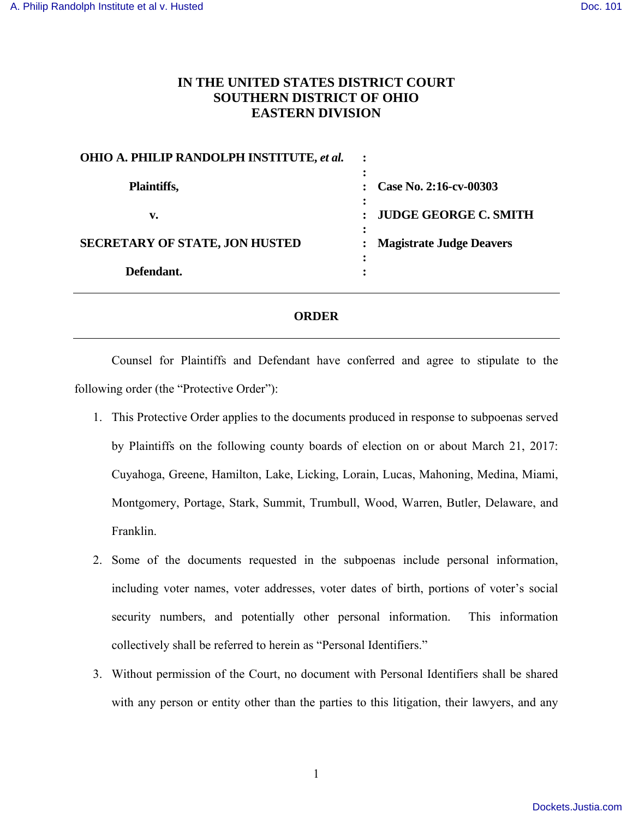## **IN THE UNITED STATES DISTRICT COURT SOUTHERN DISTRICT OF OHIO EASTERN DIVISION**

| <b>OHIO A. PHILIP RANDOLPH INSTITUTE, et al.</b> |                                 |  |
|--------------------------------------------------|---------------------------------|--|
|                                                  |                                 |  |
| Plaintiffs,                                      | Case No. 2:16-cv-00303          |  |
| v.                                               | <b>JUDGE GEORGE C. SMITH</b>    |  |
|                                                  |                                 |  |
| <b>SECRETARY OF STATE, JON HUSTED</b>            | <b>Magistrate Judge Deavers</b> |  |
|                                                  |                                 |  |
| Defendant.                                       |                                 |  |

## **ORDER**

 Counsel for Plaintiffs and Defendant have conferred and agree to stipulate to the following order (the "Protective Order"):

- 1. This Protective Order applies to the documents produced in response to subpoenas served by Plaintiffs on the following county boards of election on or about March 21, 2017: Cuyahoga, Greene, Hamilton, Lake, Licking, Lorain, Lucas, Mahoning, Medina, Miami, Montgomery, Portage, Stark, Summit, Trumbull, Wood, Warren, Butler, Delaware, and Franklin.
- 2. Some of the documents requested in the subpoenas include personal information, including voter names, voter addresses, voter dates of birth, portions of voter's social security numbers, and potentially other personal information. This information collectively shall be referred to herein as "Personal Identifiers."
- 3. Without permission of the Court, no document with Personal Identifiers shall be shared with any person or entity other than the parties to this litigation, their lawyers, and any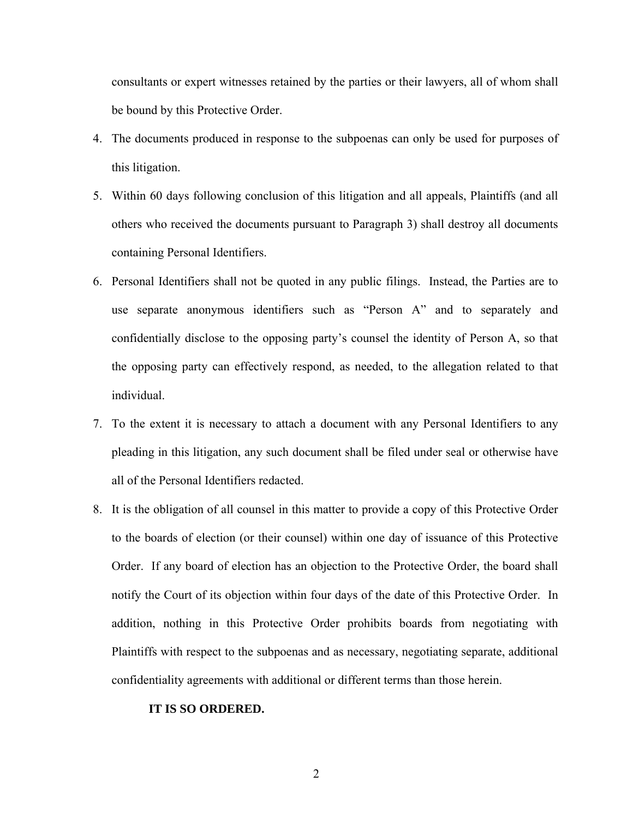consultants or expert witnesses retained by the parties or their lawyers, all of whom shall be bound by this Protective Order.

- 4. The documents produced in response to the subpoenas can only be used for purposes of this litigation.
- 5. Within 60 days following conclusion of this litigation and all appeals, Plaintiffs (and all others who received the documents pursuant to Paragraph 3) shall destroy all documents containing Personal Identifiers.
- 6. Personal Identifiers shall not be quoted in any public filings. Instead, the Parties are to use separate anonymous identifiers such as "Person A" and to separately and confidentially disclose to the opposing party's counsel the identity of Person A, so that the opposing party can effectively respond, as needed, to the allegation related to that individual.
- 7. To the extent it is necessary to attach a document with any Personal Identifiers to any pleading in this litigation, any such document shall be filed under seal or otherwise have all of the Personal Identifiers redacted.
- 8. It is the obligation of all counsel in this matter to provide a copy of this Protective Order to the boards of election (or their counsel) within one day of issuance of this Protective Order. If any board of election has an objection to the Protective Order, the board shall notify the Court of its objection within four days of the date of this Protective Order. In addition, nothing in this Protective Order prohibits boards from negotiating with Plaintiffs with respect to the subpoenas and as necessary, negotiating separate, additional confidentiality agreements with additional or different terms than those herein.

## **IT IS SO ORDERED.**

2